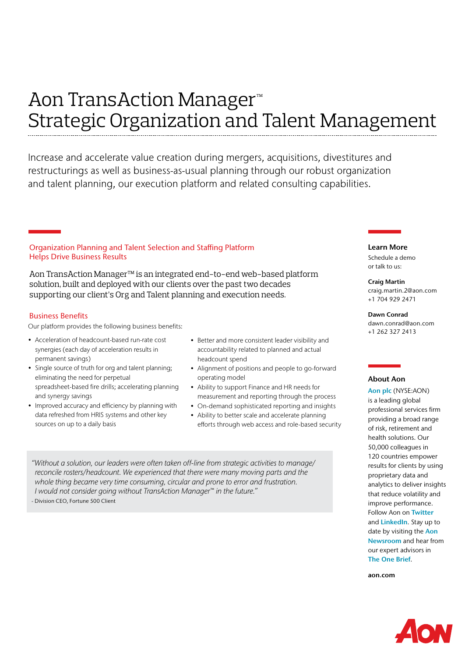# Aon TransAction Manager™ Strategic Organization and Talent Management

Increase and accelerate value creation during mergers, acquisitions, divestitures and restructurings as well as business-as-usual planning through our robust organization and talent planning, our execution platform and related consulting capabilities.

# Organization Planning and Talent Selection and Staffing Platform Helps Drive Business Results

Aon TransAction Manager™ is an integrated end-to-end web-based platform solution, built and deployed with our clients over the past two decades supporting our client's Org and Talent planning and execution needs.

### Business Benefits

Our platform provides the following business benefits:

- Acceleration of headcount-based run-rate cost synergies (each day of acceleration results in permanent savings)
- Single source of truth for org and talent planning; eliminating the need for perpetual spreadsheet-based fire drills; accelerating planning and synergy savings
- Improved accuracy and efficiency by planning with data refreshed from HRIS systems and other key sources on up to a daily basis
- Better and more consistent leader visibility and accountability related to planned and actual headcount spend
- Alignment of positions and people to go-forward operating model
- Ability to support Finance and HR needs for measurement and reporting through the process
- On-demand sophisticated reporting and insights
- Ability to better scale and accelerate planning efforts through web access and role-based security

*"Without a solution, our leaders were often taken off-line from strategic activities to manage/ reconcile rosters/headcount. We experienced that there were many moving parts and the whole thing became very time consuming, circular and prone to error and frustration. I would not consider going without TransAction Manager™ in the future."* 

- Division CEO, Fortune 500 Client

# Learn More

Schedule a demo or talk to us:

#### Craig Martin

craig.martin.2@aon.com +1 704 929 2471

Dawn Conrad dawn.conrad@aon.com +1 262 327 2413

### About Aon

[Aon plc](http://www.aon.com/) (NYSE:AON) is a leading global professional services firm providing a broad range of risk, retirement and health solutions. Our 50,000 colleagues in 120 countries empower results for clients by using proprietary data and analytics to deliver insights that reduce volatility and improve performance. Follow Aon on [Twitter](https://twitter.com/Aon_plc) and [LinkedIn](https://www.linkedin.com/company/aon/). Stay up to date by visiting the [Aon](http://www.aon.com/home/newsroom/index.html)  [Newsroom](http://www.aon.com/home/newsroom/index.html) and hear from our expert advisors in [The One Brief](http://theonebrief.com/).

[aon.com](http://www.aon.com)